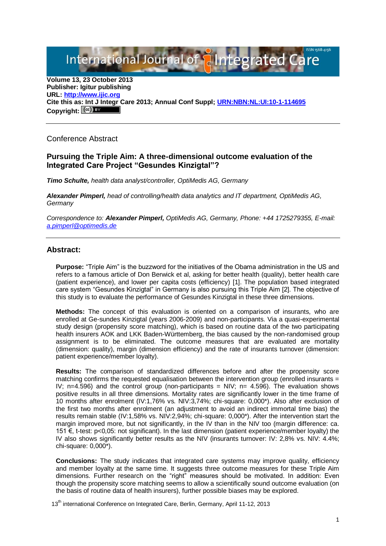International Journal of aIntegrated C

**Volume 13, 23 October 2013 Publisher: Igitur publishing URL[: http://www.ijic.org](http://www.ijic.org/) Cite this as: Int J Integr Care 2013; Annual Conf Suppl; [URN:NBN:NL:UI:10-1-114695](http://persistent-identifier.nl/?identifier=URN:NBN:NL:UI:10-1-114695)** Copyright:  $(\mathbb{C}\mathbb{C})$ 

Conference Abstract

## **Pursuing the Triple Aim: A three-dimensional outcome evaluation of the Integrated Care Project "Gesundes Kinzigtal"?**

*Timo Schulte, health data analyst/controller, OptiMedis AG, Germany*

*Alexander Pimperl, head of controlling/health data analytics and IT department, OptiMedis AG, Germany*

*Correspondence to: Alexander Pimperl, OptiMedis AG, Germany, Phone: +44 1725279355, E-mail: [a.pimperl@optimedis.de](mailto:a.pimperl@optimedis.de)*

## **Abstract:**

**Purpose:** "Triple Aim" is the buzzword for the initiatives of the Obama administration in the US and refers to a famous article of Don Berwick et al, asking for better health (quality), better health care (patient experience), and lower per capita costs (efficiency) [1]. The population based integrated care system "Gesundes Kinzigtal" in Germany is also pursuing this Triple Aim [2]. The objective of this study is to evaluate the performance of Gesundes Kinzigtal in these three dimensions.

**Methods:** The concept of this evaluation is oriented on a comparison of insurants, who are enrolled at Ge-sundes Kinzigtal (years 2006-2009) and non-participants. Via a quasi-experimental study design (propensity score matching), which is based on routine data of the two participating health insurers AOK and LKK Baden-Württemberg, the bias caused by the non-randomised group assignment is to be eliminated. The outcome measures that are evaluated are mortality (dimension: quality), margin (dimension efficiency) and the rate of insurants turnover (dimension: patient experience/member loyalty).

**Results:** The comparison of standardized differences before and after the propensity score matching confirms the requested equalisation between the intervention group (enrolled insurants  $=$ IV; n=4.596) and the control group (non-participants = NIV; n= 4.596). The evaluation shows positive results in all three dimensions. Mortality rates are significantly lower in the time frame of 10 months after enrolment (IV:1,76% vs. NIV:3,74%; chi-square: 0,000\*). Also after exclusion of the first two months after enrolment (an adjustment to avoid an indirect immortal time bias) the results remain stable (IV:1,58% vs. NIV:2,94%; chi-square: 0,000\*). After the intervention start the margin improved more, but not significantly, in the IV than in the NIV too (margin difference: ca. 151 €, t-test: p<0,05: not significant). In the last dimension (patient experience/member loyalty) the IV also shows significantly better results as the NIV (insurants turnover: IV: 2,8% vs. NIV: 4.4%; chi-square: 0,000\*).

**Conclusions:** The study indicates that integrated care systems may improve quality, efficiency and member loyalty at the same time. It suggests three outcome measures for these Triple Aim dimensions. Further research on the "right" measures should be motivated. In addition: Even though the propensity score matching seems to allow a scientifically sound outcome evaluation (on the basis of routine data of health insurers), further possible biases may be explored.

13<sup>th</sup> international Conference on Integrated Care, Berlin, Germany, April 11-12, 2013